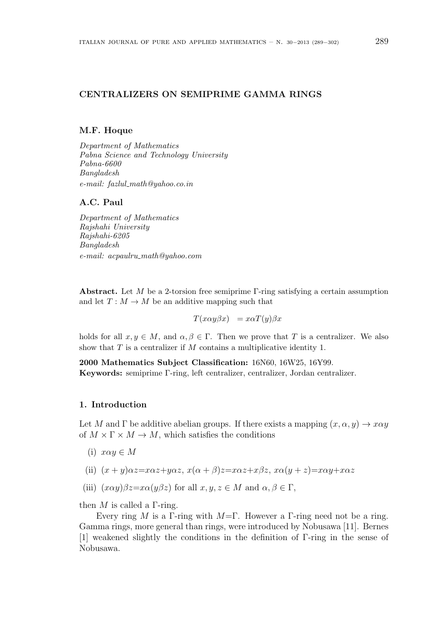# **CENTRALIZERS ON SEMIPRIME GAMMA RINGS**

# **M.F. Hoque**

*Department of Mathematics Pabna Science and Technology University Pabna-6600 Bangladesh e-mail: fazlul math@yahoo.co.in*

### **A.C. Paul**

*Department of Mathematics Rajshahi University Rajshahi-6205 Bangladesh e-mail: acpaulru math@yahoo.com*

**Abstract.** Let *M* be a 2-torsion free semiprime Γ-ring satisfying a certain assumption and let  $T : M \to M$  be an additive mapping such that

 $T(x\alpha y\beta x) = x\alpha T(y)\beta x$ 

holds for all  $x, y \in M$ , and  $\alpha, \beta \in \Gamma$ . Then we prove that *T* is a centralizer. We also show that *T* is a centralizer if *M* contains a multiplicative identity 1.

**2000 Mathematics Subject Classification:** 16N60, 16W25, 16Y99. **Keywords:** semiprime Γ-ring, left centralizer, centralizer, Jordan centralizer.

# **1. Introduction**

Let *M* and  $\Gamma$  be additive abelian groups. If there exists a mapping  $(x, \alpha, y) \rightarrow x\alpha y$ of  $M \times \Gamma \times M \rightarrow M$ , which satisfies the conditions

- (i)  $x\alpha y \in M$
- (ii)  $(x + y)\alpha z = x\alpha z + y\alpha z$ ,  $x(\alpha + \beta)z = x\alpha z + x\beta z$ ,  $x\alpha(y + z) = x\alpha y + x\alpha z$
- (iii)  $(x\alpha y)\beta z=x\alpha(y\beta z)$  for all  $x, y, z \in M$  and  $\alpha, \beta \in \Gamma$ ,

then *M* is called a Γ-ring.

Every ring *M* is a Γ-ring with *M*=Γ. However a Γ-ring need not be a ring. Gamma rings, more general than rings, were introduced by Nobusawa [11]. Bernes [1] weakened slightly the conditions in the definition of Γ-ring in the sense of Nobusawa.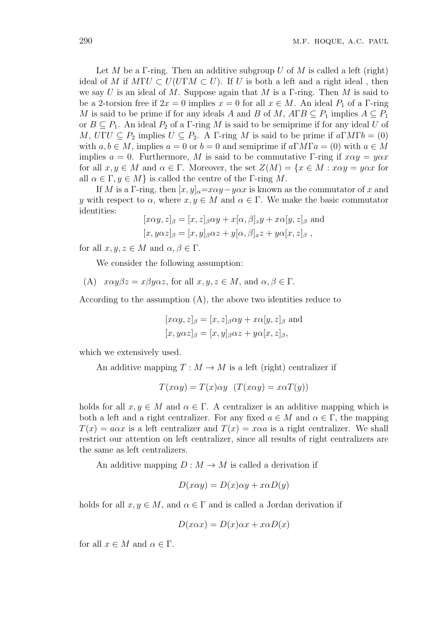Let *M* be a Γ-ring. Then an additive subgroup *U* of *M* is called a left (right) ideal of *M* if  $M\Gamma U \subset U(U\Gamma M \subset U)$ . If *U* is both a left and a right ideal, then we say *U* is an ideal of *M*. Suppose again that *M* is a Γ-ring. Then *M* is said to be a 2-torsion free if  $2x = 0$  implies  $x = 0$  for all  $x \in M$ . An ideal  $P_1$  of a  $\Gamma$ -ring *M* is said to be prime if for any ideals *A* and *B* of *M*,  $A \Gamma B \subseteq P_1$  implies  $A \subseteq P_1$ or  $B \subseteq P_1$ . An ideal  $P_2$  of a  $\Gamma$ -ring M is said to be semiprime if for any ideal U of *M*,  $U\Gamma U \subseteq P_2$  implies  $U \subseteq P_2$ . A Γ-ring *M* is said to be prime if  $a\Gamma M\Gamma b = (0)$ with  $a, b \in M$ , implies  $a = 0$  or  $b = 0$  and semiprime if  $a \Gamma M \Gamma a = (0)$  with  $a \in M$ implies  $a = 0$ . Furthermore, M is said to be commutative Γ-ring if  $x\alpha y = y\alpha x$ for all  $x, y \in M$  and  $\alpha \in \Gamma$ . Moreover, the set  $Z(M) = \{x \in M : x\alpha y = y\alpha x$  for all  $\alpha \in \Gamma, \gamma \in M$  is called the centre of the  $\Gamma$ -ring M.

If *M* is a Γ-ring, then  $[x, y]_0 = x\alpha y - y\alpha x$  is known as the commutator of *x* and *y* with respect to  $\alpha$ , where  $x, y \in M$  and  $\alpha \in \Gamma$ . We make the basic commutator identities:

$$
[x\alpha y, z]_{\beta} = [x, z]_{\beta}\alpha y + x[\alpha, \beta]_{z}y + x\alpha[y, z]_{\beta}
$$
 and  

$$
[x, y\alpha z]_{\beta} = [x, y]_{\beta}\alpha z + y[\alpha, \beta]_{x}z + y\alpha[x, z]_{\beta}
$$
,

for all  $x, y, z \in M$  and  $\alpha, \beta \in \Gamma$ .

We consider the following assumption:

(A) 
$$
x\alpha y\beta z = x\beta y\alpha z
$$
, for all  $x, y, z \in M$ , and  $\alpha, \beta \in \Gamma$ .

According to the assumption (A), the above two identities reduce to

$$
[x\alpha y, z]_{\beta} = [x, z]_{\beta}\alpha y + x\alpha[y, z]_{\beta}
$$
 and  

$$
[x, y\alpha z]_{\beta} = [x, y]_{\beta}\alpha z + y\alpha[x, z]_{\beta},
$$

which we extensively used.

An additive mapping  $T : M \to M$  is a left (right) centralizer if

$$
T(x\alpha y) = T(x)\alpha y \quad (T(x\alpha y) = x\alpha T(y))
$$

holds for all  $x, y \in M$  and  $\alpha \in \Gamma$ . A centralizer is an additive mapping which is both a left and a right centralizer. For any fixed  $a \in M$  and  $\alpha \in \Gamma$ , the mapping  $T(x) = a\alpha x$  is a left centralizer and  $T(x) = x\alpha a$  is a right centralizer. We shall restrict our attention on left centralizer, since all results of right centralizers are the same as left centralizers.

An additive mapping  $D: M \to M$  is called a derivation if

$$
D(x\alpha y) = D(x)\alpha y + x\alpha D(y)
$$

holds for all  $x, y \in M$ , and  $\alpha \in \Gamma$  and is called a Jordan derivation if

$$
D(x\alpha x) = D(x)\alpha x + x\alpha D(x)
$$

for all  $x \in M$  and  $\alpha \in \Gamma$ .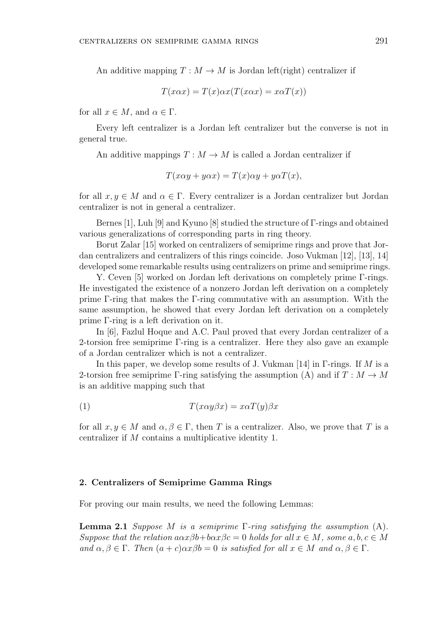An additive mapping  $T: M \to M$  is Jordan left(right) centralizer if

$$
T(x\alpha x) = T(x)\alpha x(T(x\alpha x) = x\alpha T(x))
$$

for all  $x \in M$ , and  $\alpha \in \Gamma$ .

Every left centralizer is a Jordan left centralizer but the converse is not in general true.

An additive mappings  $T : M \to M$  is called a Jordan centralizer if

$$
T(x\alpha y + y\alpha x) = T(x)\alpha y + y\alpha T(x),
$$

for all  $x, y \in M$  and  $\alpha \in \Gamma$ . Every centralizer is a Jordan centralizer but Jordan centralizer is not in general a centralizer.

Bernes [1], Luh [9] and Kyuno [8] studied the structure of Γ-rings and obtained various generalizations of corresponding parts in ring theory.

Borut Zalar [15] worked on centralizers of semiprime rings and prove that Jordan centralizers and centralizers of this rings coincide. Joso Vukman [12], [13], 14] developed some remarkable results using centralizers on prime and semiprime rings.

Y. Ceven [5] worked on Jordan left derivations on completely prime Γ-rings. He investigated the existence of a nonzero Jordan left derivation on a completely prime Γ-ring that makes the Γ-ring commutative with an assumption. With the same assumption, he showed that every Jordan left derivation on a completely prime Γ-ring is a left derivation on it.

In [6], Fazlul Hoque and A.C. Paul proved that every Jordan centralizer of a 2-torsion free semiprime Γ-ring is a centralizer. Here they also gave an example of a Jordan centralizer which is not a centralizer.

In this paper, we develop some results of J. Vukman [14] in Γ-rings. If *M* is a 2-torsion free semiprime Γ-ring satisfying the assumption (A) and if  $T : M \to M$ is an additive mapping such that

(1) 
$$
T(x\alpha y\beta x) = x\alpha T(y)\beta x
$$

for all  $x, y \in M$  and  $\alpha, \beta \in \Gamma$ , then *T* is a centralizer. Also, we prove that *T* is a centralizer if *M* contains a multiplicative identity 1.

## **2. Centralizers of Semiprime Gamma Rings**

For proving our main results, we need the following Lemmas:

**Lemma 2.1** *Suppose M is a semiprime* Γ*-ring satisfying the assumption* (A)*. Suppose that the relation*  $a\alpha x\beta b + b\alpha x\beta c = 0$  *holds for all*  $x \in M$ *, some*  $a, b, c \in M$  $\overline{a}$  *and*  $\alpha, \beta \in \Gamma$ . Then  $(a + c)\alpha x \beta b = 0$  *is satisfied for all*  $x \in M$  *and*  $\alpha, \beta \in \Gamma$ .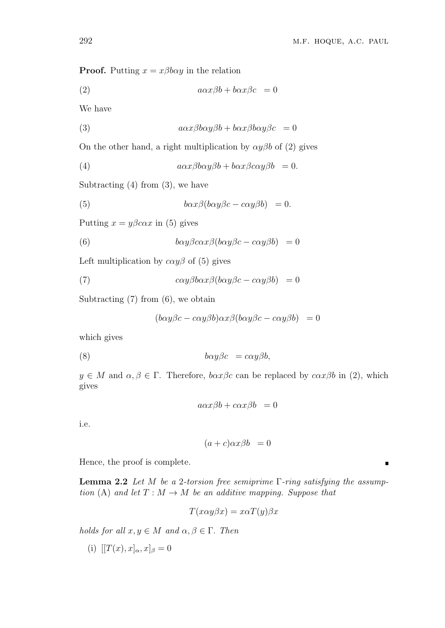**Proof.** Putting  $x = x\beta b\alpha y$  in the relation

(2) *aαxβb* + *bαxβc* = 0

We have

(3) 
$$
a\alpha x\beta b\alpha y\beta b + b\alpha x\beta b\alpha y\beta c = 0
$$

On the other hand, a right multiplication by  $\alpha y \beta b$  of (2) gives

(4) 
$$
a\alpha x\beta b\alpha y\beta b + b\alpha x\beta c\alpha y\beta b = 0.
$$

Subtracting  $(4)$  from  $(3)$ , we have

(5) 
$$
b\alpha x\beta(b\alpha y\beta c - c\alpha y\beta b) = 0.
$$

Putting  $x = y\beta c\alpha x$  in (5) gives

(6) 
$$
b\alpha y\beta c\alpha x\beta(b\alpha y\beta c - c\alpha y\beta b) = 0
$$

Left multiplication by  $c\alpha y\beta$  of (5) gives

(7) 
$$
c\alpha y \beta b \alpha x \beta (b\alpha y \beta c - c\alpha y \beta b) = 0
$$

Subtracting (7) from (6), we obtain

$$
(b\alpha y\beta c - c\alpha y\beta b)\alpha x\beta (b\alpha y\beta c - c\alpha y\beta b) = 0
$$

which gives

(8) *bαyβc* = *cαyβb,*

 $y \in M$  and  $\alpha, \beta \in \Gamma$ . Therefore,  $b\alpha x\beta c$  can be replaced by  $c\alpha x\beta b$  in (2), which gives

$$
a\alpha x\beta b+c\alpha x\beta b\ =0
$$

i.e.

$$
(a+c)\alpha x\beta b = 0
$$

Hence, the proof is complete.

**Lemma 2.2** *Let M be a* 2*-torsion free semiprime* Γ*-ring satisfying the assumption* (A) and let  $T : M \to M$  be an additive mapping. Suppose that

$$
T(x\alpha y\beta x) = x\alpha T(y)\beta x
$$

*holds for all*  $x, y \in M$  *and*  $\alpha, \beta \in \Gamma$ *. Then* 

(i)  $[ [T(x), x]_{\alpha}, x]_{\beta} = 0$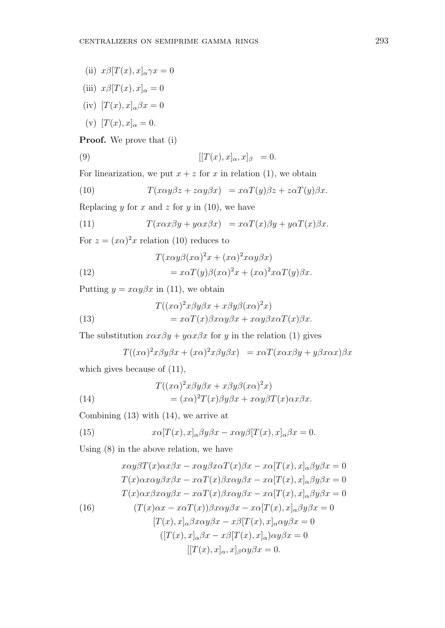(ii)  $x\beta[T(x),x]_{\alpha}\gamma x=0$ 

(iii) 
$$
x\beta[T(x),x]_{\alpha}=0
$$

- (iv)  $[T(x), x]_{\alpha} \beta x = 0$
- (v)  $[T(x), x]_{\alpha} = 0.$

**Proof.** We prove that (i)

(9) 
$$
[[T(x), x]_{\alpha}, x]_{\beta} = 0.
$$

For linearization, we put  $x + z$  for *x* in relation (1), we obtain

(10) 
$$
T(x\alpha y\beta z + z\alpha y\beta x) = x\alpha T(y)\beta z + z\alpha T(y)\beta x.
$$

Replacing *y* for *x* and *z* for *y* in (10), we have

(11) 
$$
T(x\alpha x\beta y + y\alpha x\beta x) = x\alpha T(x)\beta y + y\alpha T(x)\beta x.
$$

For  $z = (x\alpha)^2 x$  relation (10) reduces to

(12) 
$$
T(x\alpha y\beta(x\alpha)^2 x + (x\alpha)^2 x\alpha y\beta x) = x\alpha T(y)\beta(x\alpha)^2 x + (x\alpha)^2 x\alpha T(y)\beta x.
$$

Putting  $y = x\alpha y\beta x$  in (11), we obtain

(13) 
$$
T((x\alpha)^{2}x\beta y\beta x + x\beta y\beta (x\alpha)^{2}x) = x\alpha T(x)\beta x\alpha y\beta x + x\alpha y\beta x\alpha T(x)\beta x.
$$

The substitution  $x\alpha x\beta y + y\alpha x\beta x$  for *y* in the relation (1) gives

$$
T((x\alpha)^{2}x\beta y\beta x + (x\alpha)^{2}x\beta y\beta x) = x\alpha T(x\alpha x\beta y + y\beta x\alpha x)\beta x
$$

which gives because of (11),

(14) 
$$
T((x\alpha)^{2}x\beta y\beta x + x\beta y\beta (x\alpha)^{2}x) = (x\alpha)^{2}T(x)\beta y\beta x + x\alpha y\beta T(x)\alpha x\beta x.
$$

Combining (13) with (14), we arrive at

(15) 
$$
x\alpha[T(x),x]_{\alpha}\beta y\beta x - x\alpha y\beta[T(x),x]_{\alpha}\beta x = 0.
$$

Using (8) in the above relation, we have

$$
x\alpha y\beta T(x)\alpha x\beta x - x\alpha y\beta x\alpha T(x)\beta x - x\alpha [T(x), x]_{\alpha}\beta y\beta x = 0
$$
  
\n
$$
T(x)\alpha x\alpha y\beta x\beta x - x\alpha T(x)\beta x\alpha y\beta x - x\alpha [T(x), x]_{\alpha}\beta y\beta x = 0
$$
  
\n
$$
T(x)\alpha x\beta x\alpha y\beta x - x\alpha T(x)\beta x\alpha y\beta x - x\alpha [T(x), x]_{\alpha}\beta y\beta x = 0
$$
  
\n(16) 
$$
(T(x)\alpha x - x\alpha T(x))\beta x\alpha y\beta x - x\alpha [T(x), x]_{\alpha}\beta y\beta x = 0
$$
  
\n
$$
[T(x), x]_{\alpha}\beta x\alpha y\beta x - x\beta [T(x), x]_{\alpha}\alpha y\beta x = 0
$$
  
\n
$$
[[T(x), x]_{\alpha}, x]_{\beta}\alpha y\beta x = 0.
$$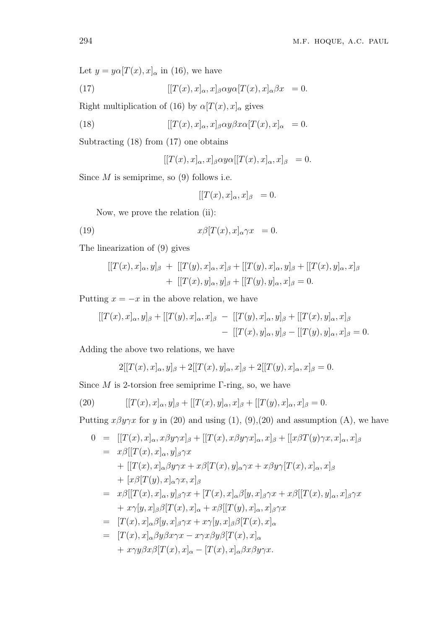Let  $y = y\alpha[T(x), x]_{\alpha}$  in (16), we have

(17) 
$$
[[T(x),x]_{\alpha},x]_{\beta}\alpha y \alpha [T(x),x]_{\alpha}\beta x = 0.
$$

Right multiplication of (16) by  $\alpha[T(x),x]_{\alpha}$  gives

(18) 
$$
[[T(x),x]_{\alpha},x]_{\beta}\alpha y\beta x\alpha [T(x),x]_{\alpha} = 0.
$$

Subtracting (18) from (17) one obtains

$$
[[T(x),x]_{\alpha},x]_{\beta}\alpha y\alpha [[T(x),x]_{\alpha},x]_{\beta} = 0.
$$

Since *M* is semiprime, so (9) follows i.e.

$$
[[T(x),x]_{\alpha},x]_{\beta} = 0.
$$

Now, we prove the relation (ii):

(19) 
$$
x\beta[T(x),x]_{\alpha}\gamma x = 0.
$$

The linearization of (9) gives

$$
[[T(x),x]_{\alpha},y]_{\beta} + [[T(y),x]_{\alpha},x]_{\beta} + [[T(y),x]_{\alpha},y]_{\beta} + [[T(x),y]_{\alpha},x]_{\beta} + [[T(x),y]_{\alpha},y]_{\beta} + [[T(y),y]_{\alpha},x]_{\beta} = 0.
$$

Putting  $x = -x$  in the above relation, we have

$$
[[T(x),x]_{\alpha},y]_{\beta}+[[T(y),x]_{\alpha},x]_{\beta} - [[T(y),x]_{\alpha},y]_{\beta}+[[T(x),y]_{\alpha},x]_{\beta}-\ [[T(x),y]_{\alpha},y]_{\beta}-[[T(y),y]_{\alpha},x]_{\beta}=0.
$$

Adding the above two relations, we have

$$
2[[T(x),x]_{\alpha},y]_{\beta} + 2[[T(x),y]_{\alpha},x]_{\beta} + 2[[T(y),x]_{\alpha},x]_{\beta} = 0.
$$

Since *M* is 2-torsion free semiprime Γ-ring, so, we have

(20) 
$$
[[T(x),x]_{\alpha},y]_{\beta}+[[T(x),y]_{\alpha},x]_{\beta}+[[T(y),x]_{\alpha},x]_{\beta}=0.
$$

Putting  $x\beta y\gamma x$  for *y* in (20) and using (1), (9), (20) and assumption (A), we have

$$
0 = [[T(x), x]_{\alpha}, x\beta y\gamma x]_{\beta} + [[T(x), x\beta y\gamma x]_{\alpha}, x]_{\beta} + [[x\beta T(y)\gamma x, x]_{\alpha}, x]_{\beta}
$$
  
\n
$$
= x\beta [[T(x), x]_{\alpha}, y]_{\beta}\gamma x
$$
  
\n
$$
+ [[T(x), x]_{\alpha}\beta y\gamma x + x\beta [T(x), y]_{\alpha}\gamma x + x\beta y\gamma [T(x), x]_{\alpha}, x]_{\beta}
$$
  
\n
$$
+ [x\beta [T(y), x]_{\alpha}\gamma x, x]_{\beta}
$$
  
\n
$$
= x\beta [[T(x), x]_{\alpha}, y]_{\beta}\gamma x + [T(x), x]_{\alpha}\beta [y, x]_{\beta}\gamma x + x\beta [[T(x), y]_{\alpha}, x]_{\beta}\gamma x
$$
  
\n
$$
+ x\gamma [y, x]_{\beta}\beta [T(x), x]_{\alpha} + x\beta [[T(y), x]_{\alpha}, x]_{\beta}\gamma x
$$
  
\n
$$
= [T(x), x]_{\alpha}\beta [y, x]_{\beta}\gamma x + x\gamma [y, x]_{\beta}\beta [T(x), x]_{\alpha}
$$
  
\n
$$
= [T(x), x]_{\alpha}\beta y\beta x\gamma x - x\gamma x\beta y\beta [T(x), x]_{\alpha}
$$

$$
+ x \gamma y \beta x \beta [T(x), x]_{\alpha} - [T(x), x]_{\alpha} \beta x \beta y \gamma x.
$$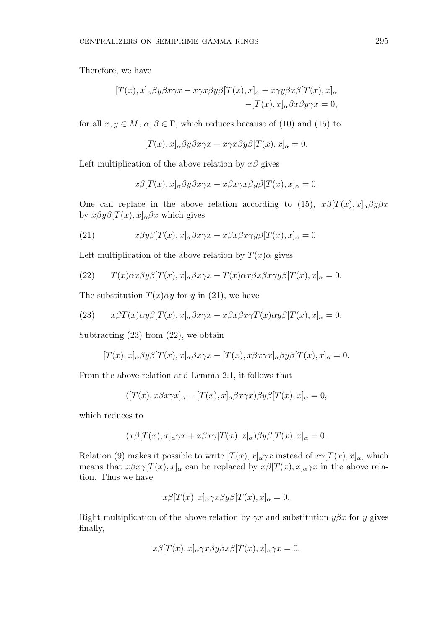Therefore, we have

$$
[T(x),x]_{\alpha}\beta y\beta x\gamma x - x\gamma x\beta y\beta [T(x),x]_{\alpha} + x\gamma y\beta x\beta [T(x),x]_{\alpha}-[T(x),x]_{\alpha}\beta x\beta y\gamma x = 0,
$$

for all  $x, y \in M$ ,  $\alpha, \beta \in \Gamma$ , which reduces because of (10) and (15) to

$$
[T(x),x]_{\alpha}\beta y\beta x\gamma x - x\gamma x\beta y\beta [T(x),x]_{\alpha} = 0.
$$

Left multiplication of the above relation by *xβ* gives

$$
x\beta[T(x),x]_{\alpha}\beta y\beta x\gamma x - x\beta x\gamma x\beta y\beta[T(x),x]_{\alpha} = 0.
$$

One can replace in the above relation according to (15),  $x\beta[T(x),x]_{\alpha}\beta y\beta x$ by  $x\beta y\beta[T(x),x]_{\alpha}\beta x$  which gives

(21) 
$$
x\beta y\beta[T(x),x]_{\alpha}\beta x\gamma x - x\beta x\beta x\gamma y\beta[T(x),x]_{\alpha} = 0.
$$

Left multiplication of the above relation by  $T(x)$ *α* gives

(22) 
$$
T(x)\alpha x\beta y\beta [T(x),x]_{\alpha}\beta x\gamma x - T(x)\alpha x\beta x\beta x\gamma y\beta [T(x),x]_{\alpha} = 0.
$$

The substitution  $T(x) \alpha y$  for *y* in (21), we have

(23) 
$$
x\beta T(x)\alpha y\beta [T(x),x]_{\alpha}\beta x\gamma x - x\beta x\beta x\gamma T(x)\alpha y\beta [T(x),x]_{\alpha} = 0.
$$

Subtracting  $(23)$  from  $(22)$ , we obtain

$$
[T(x),x]_{\alpha}\beta y\beta [T(x),x]_{\alpha}\beta x\gamma x - [T(x),x\beta x\gamma x]_{\alpha}\beta y\beta [T(x),x]_{\alpha} = 0.
$$

From the above relation and Lemma 2.1, it follows that

$$
([T(x),x\beta x\gamma x]_{\alpha}-[T(x),x]_{\alpha}\beta x\gamma x)\beta y\beta [T(x),x]_{\alpha}=0,
$$

which reduces to

$$
(x\beta[T(x),x]_{\alpha}\gamma x+x\beta x\gamma[T(x),x]_{\alpha})\beta y\beta[T(x),x]_{\alpha}=0.
$$

Relation (9) makes it possible to write  $[T(x), x]_{\alpha} \gamma x$  instead of  $x \gamma [T(x), x]_{\alpha}$ , which means that  $x\beta x\gamma[T(x),x]_{\alpha}$  can be replaced by  $x\beta[T(x),x]_{\alpha}\gamma x$  in the above relation. Thus we have

$$
x\beta[T(x),x]_{\alpha}\gamma x\beta y\beta[T(x),x]_{\alpha}=0.
$$

Right multiplication of the above relation by  $\gamma x$  and substitution  $y \beta x$  for *y* gives finally,

$$
x\beta[T(x),x]_{\alpha}\gamma x\beta y\beta x\beta[T(x),x]_{\alpha}\gamma x=0.
$$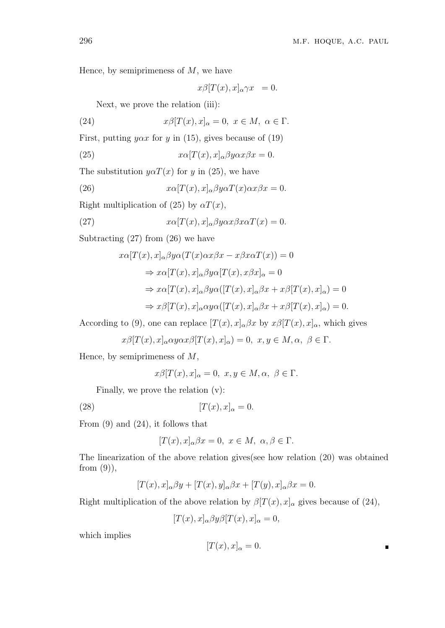Hence, by semiprimeness of *M*, we have

$$
x\beta[T(x),x]_{\alpha}\gamma x = 0.
$$

Next, we prove the relation (iii):

(24) 
$$
x\beta[T(x),x]_{\alpha}=0, x \in M, \alpha \in \Gamma.
$$

First, putting  $y \alpha x$  for *y* in (15), gives because of (19)

(25) 
$$
x\alpha[T(x),x]_{\alpha}\beta y\alpha x\beta x = 0.
$$

The substitution  $y \alpha T(x)$  for *y* in (25), we have

(26) 
$$
x\alpha[T(x),x]_{\alpha}\beta y\alpha T(x)\alpha x\beta x = 0.
$$

Right multiplication of (25) by  $\alpha T(x)$ ,

(27) 
$$
x\alpha[T(x),x]_{\alpha}\beta y\alpha x\beta x\alpha T(x) = 0.
$$

Subtracting (27) from (26) we have

$$
x\alpha[T(x),x]_{\alpha}\beta y\alpha(T(x)\alpha x\beta x - x\beta x\alpha T(x)) = 0
$$
  
\n
$$
\Rightarrow x\alpha[T(x),x]_{\alpha}\beta y\alpha[T(x),x\beta x]_{\alpha} = 0
$$
  
\n
$$
\Rightarrow x\alpha[T(x),x]_{\alpha}\beta y\alpha([T(x),x]_{\alpha}\beta x + x\beta[T(x),x]_{\alpha}) = 0
$$
  
\n
$$
\Rightarrow x\beta[T(x),x]_{\alpha}\alpha y\alpha([T(x),x]_{\alpha}\beta x + x\beta[T(x),x]_{\alpha}) = 0.
$$

According to (9), one can replace  $[T(x), x]_{\alpha} \beta x$  by  $x\beta[T(x), x]_{\alpha}$ , which gives

$$
x\beta[T(x),x]_{\alpha} \alpha y \alpha x \beta[T(x),x]_{\alpha}) = 0, \ x, y \in M, \alpha, \ \beta \in \Gamma.
$$

Hence, by semiprimeness of *M*,

$$
x\beta[T(x),x]_{\alpha}=0, x,y\in M, \alpha, \beta \in \Gamma.
$$

Finally, we prove the relation (v):

$$
[T(x),x]_{\alpha}=0.
$$

From (9) and (24), it follows that

$$
[T(x),x]_{\alpha}\beta x=0, x \in M, \alpha, \beta \in \Gamma.
$$

The linearization of the above relation gives(see how relation (20) was obtained from  $(9)$ ,

$$
[T(x),x]_{\alpha}\beta y + [T(x),y]_{\alpha}\beta x + [T(y),x]_{\alpha}\beta x = 0.
$$

Right multiplication of the above relation by  $\beta[T(x),x]_{\alpha}$  gives because of (24),

$$
[T(x),x]_{\alpha}\beta y\beta [T(x),x]_{\alpha}=0,
$$

which implies

$$
[T(x),x]_{\alpha}=0.
$$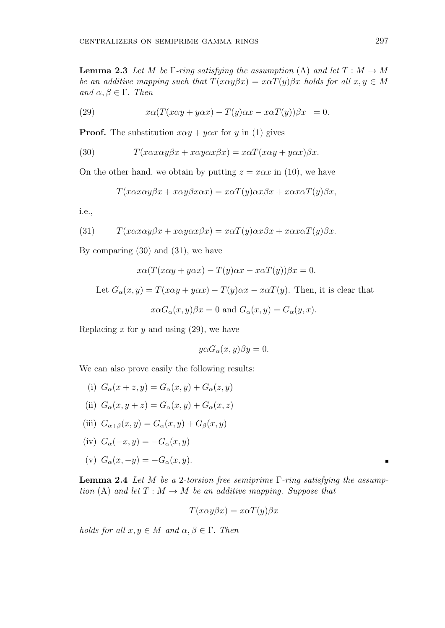**Lemma 2.3** *Let M be* Γ*-ring satisfying the assumption* (A) *and let*  $T : M \rightarrow M$ *be an additive mapping such that*  $T(x\alpha y\beta x) = x\alpha T(y)\beta x$  *holds for all*  $x, y \in M$ *and*  $α, β ∈ Γ$ *. Then* 

(29) 
$$
x\alpha(T(x\alpha y + y\alpha x) - T(y)\alpha x - x\alpha T(y))\beta x = 0.
$$

**Proof.** The substitution  $x\alpha y + y\alpha x$  for *y* in (1) gives

(30) 
$$
T(x\alpha x\alpha y\beta x + x\alpha y\alpha x\beta x) = x\alpha T(x\alpha y + y\alpha x)\beta x.
$$

On the other hand, we obtain by putting  $z = x\alpha x$  in (10), we have

$$
T(x\alpha x\alpha y\beta x + x\alpha y\beta x\alpha x) = x\alpha T(y)\alpha x\beta x + x\alpha x\alpha T(y)\beta x,
$$

i.e.,

(31) 
$$
T(x\alpha x\alpha y\beta x + x\alpha y\alpha x\beta x) = x\alpha T(y)\alpha x\beta x + x\alpha x\alpha T(y)\beta x.
$$

By comparing (30) and (31), we have

$$
x\alpha(T(x\alpha y + y\alpha x) - T(y)\alpha x - x\alpha T(y))\beta x = 0.
$$

Let  $G_{\alpha}(x, y) = T(x\alpha y + y\alpha x) - T(y)\alpha x - x\alpha T(y)$ . Then, it is clear that  $x\alpha G_{\alpha}(x, y)\beta x = 0$  and  $G_{\alpha}(x, y) = G_{\alpha}(y, x)$ .

Replacing *x* for *y* and using (29), we have

$$
y\alpha G_{\alpha}(x,y)\beta y=0.
$$

We can also prove easily the following results:

- (i)  $G_{\alpha}(x+z,y) = G_{\alpha}(x,y) + G_{\alpha}(z,y)$ (ii)  $G_{\alpha}(x, y + z) = G_{\alpha}(x, y) + G_{\alpha}(x, z)$ (iii)  $G_{\alpha+\beta}(x, y) = G_{\alpha}(x, y) + G_{\beta}(x, y)$
- (iv) *Gα*(*−x, y*) = *−Gα*(*x, y*)

$$
(iv) G_{\alpha}(-x, y) = -G_{\alpha}(x, y)
$$

(v) 
$$
G_{\alpha}(x, -y) = -G_{\alpha}(x, y)
$$
.

**Lemma 2.4** *Let M be a* 2*-torsion free semiprime* Γ*-ring satisfying the assumption* (A) and let  $T : M \to M$  be an additive mapping. Suppose that

$$
T(x\alpha y\beta x)=x\alpha T(y)\beta x
$$

*holds for all*  $x, y \in M$  *and*  $\alpha, \beta \in \Gamma$ *. Then* 

 $\blacksquare$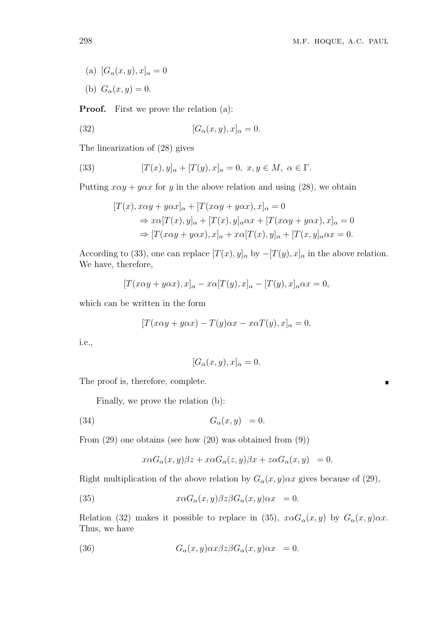$\blacksquare$ 

- (a)  $[G_{\alpha}(x, y), x]_{\alpha} = 0$
- (b)  $G_{\alpha}(x, y) = 0.$

**Proof.** First we prove the relation (a):

(32) 
$$
[G_{\alpha}(x,y),x]_{\alpha}=0.
$$

The linearization of (28) gives

(33) 
$$
[T(x), y]_{\alpha} + [T(y), x]_{\alpha} = 0, x, y \in M, \alpha \in \Gamma.
$$

Putting  $x\alpha y + y\alpha x$  for *y* in the above relation and using (28), we obtain

$$
[T(x), x\alpha y + y\alpha x]_{\alpha} + [T(x\alpha y + y\alpha x), x]_{\alpha} = 0
$$
  
\n
$$
\Rightarrow x\alpha [T(x), y]_{\alpha} + [T(x), y]_{\alpha} \alpha x + [T(x\alpha y + y\alpha x), x]_{\alpha} = 0
$$
  
\n
$$
\Rightarrow [T(x\alpha y + y\alpha x), x]_{\alpha} + x\alpha [T(x), y]_{\alpha} + [T(x, y]_{\alpha} \alpha x = 0.
$$

According to (33), one can replace  $[T(x), y]_{\alpha}$  by  $-[T(y), x]_{\alpha}$  in the above relation. We have, therefore,

$$
[T(x\alpha y + y\alpha x), x]_{\alpha} - x\alpha [T(y), x]_{\alpha} - [T(y), x]_{\alpha}\alpha x = 0,
$$

which can be written in the form

$$
[T(x\alpha y + y\alpha x) - T(y)\alpha x - x\alpha T(y), x]_{\alpha} = 0,
$$

i.e.,

$$
[G_{\alpha}(x,y),x]_{\alpha}=0.
$$

The proof is, therefore, complete.

Finally, we prove the relation (b):

$$
(34) \t G\alpha(x,y) = 0.
$$

From (29) one obtains (see how (20) was obtained from (9))

$$
x\alpha G_{\alpha}(x,y)\beta z+x\alpha G_{\alpha}(z,y)\beta x+z\alpha G_{\alpha}(x,y) = 0.
$$

Right multiplication of the above relation by  $G_{\alpha}(x, y) \alpha x$  gives because of (29),

(35)  $x\alpha G_{\alpha}(x, y)\beta z\beta G_{\alpha}(x, y)\alpha x = 0.$ 

Relation (32) makes it possible to replace in (35),  $x\alpha G_{\alpha}(x, y)$  by  $G_{\alpha}(x, y)\alpha x$ . Thus, we have

(36) 
$$
G_{\alpha}(x,y)\alpha x\beta z\beta G_{\alpha}(x,y)\alpha x = 0.
$$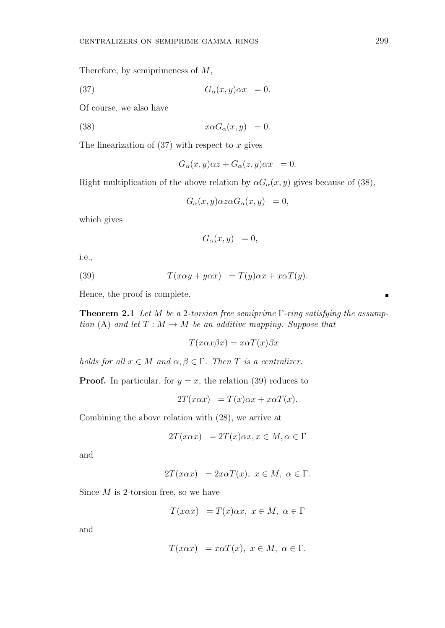Therefore, by semiprimeness of 
$$
M
$$
,

(37) 
$$
G_{\alpha}(x,y)\alpha x = 0.
$$

Of course, we also have

(38) 
$$
x \alpha G_{\alpha}(x, y) = 0.
$$

The linearization of (37) with respect to *x* gives

$$
G_{\alpha}(x,y)\alpha z + G_{\alpha}(z,y)\alpha x = 0.
$$

Right multiplication of the above relation by  $\alpha G_{\alpha}(x, y)$  gives because of (38),

$$
G_{\alpha}(x,y)\alpha z \alpha G_{\alpha}(x,y) = 0,
$$

which gives

$$
G_{\alpha}(x,y) = 0,
$$

i.e.,

(39) 
$$
T(x\alpha y + y\alpha x) = T(y)\alpha x + x\alpha T(y).
$$

Hence, the proof is complete.

**Theorem 2.1** *Let M be a* 2*-torsion free semiprime* Γ*-ring satisfying the assumption* (A) and let  $T : M \to M$  be an additive mapping. Suppose that

$$
T(x\alpha x\beta x) = x\alpha T(x)\beta x
$$

*holds for all*  $x \in M$  *and*  $\alpha, \beta \in \Gamma$ . *Then T is a centralizer.* 

**Proof.** In particular, for  $y = x$ , the relation (39) reduces to

$$
2T(x\alpha x) = T(x)\alpha x + x\alpha T(x).
$$

Combining the above relation with (28), we arrive at

$$
2T(x\alpha x) = 2T(x)\alpha x, x \in M, \alpha \in \Gamma
$$

and

$$
2T(x\alpha x) = 2x\alpha T(x), x \in M, \alpha \in \Gamma.
$$

Since *M* is 2-torsion free, so we have

$$
T(x\alpha x) = T(x)\alpha x, \ x \in M, \ \alpha \in \Gamma
$$

and

$$
T(x\alpha x) = x\alpha T(x), x \in M, \alpha \in \Gamma.
$$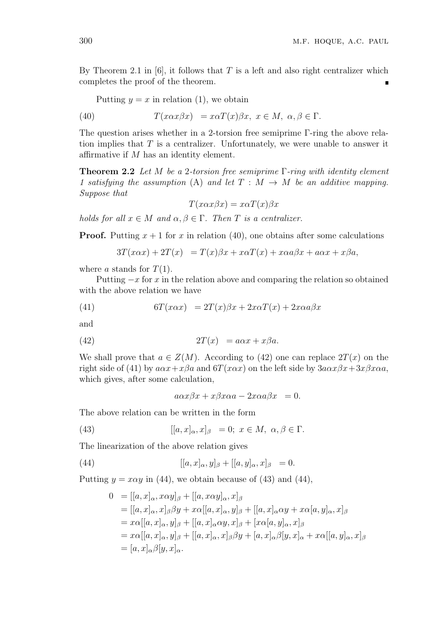By Theorem 2.1 in  $[6]$ , it follows that *T* is a left and also right centralizer which completes the proof of the theorem.

Putting  $y = x$  in relation (1), we obtain

(40) 
$$
T(x\alpha x\beta x) = x\alpha T(x)\beta x, x \in M, \alpha, \beta \in \Gamma.
$$

The question arises whether in a 2-torsion free semiprime Γ-ring the above relation implies that *T* is a centralizer. Unfortunately, we were unable to answer it affirmative if *M* has an identity element.

**Theorem 2.2** *Let M be a* 2*-torsion free semiprime* Γ*-ring with identity element 1 satisfying the assumption* (A) and let  $T : M \rightarrow M$  be an additive mapping. *Suppose that*

$$
T(x\alpha x\beta x) = x\alpha T(x)\beta x
$$

*holds for all*  $x \in M$  *and*  $\alpha, \beta \in \Gamma$ . *Then T is a centralizer.* 

**Proof.** Putting  $x + 1$  for  $x$  in relation (40), one obtains after some calculations

$$
3T(x\alpha x) + 2T(x) = T(x)\beta x + x\alpha T(x) + x\alpha a\beta x + a\alpha x + x\beta a,
$$

where *a* stands for  $T(1)$ .

Putting *−x* for *x* in the relation above and comparing the relation so obtained with the above relation we have

(41) 
$$
6T(x\alpha x) = 2T(x)\beta x + 2x\alpha T(x) + 2x\alpha a\beta x
$$

and

(42) 
$$
2T(x) = a\alpha x + x\beta a.
$$

We shall prove that  $a \in Z(M)$ . According to (42) one can replace  $2T(x)$  on the right side of (41) by  $a\alpha x + x\beta a$  and  $\delta T(x\alpha x)$  on the left side by  $3a\alpha x\beta x + 3x\beta x\alpha a$ , which gives, after some calculation,

$$
a\alpha x\beta x + x\beta x\alpha a - 2x\alpha a\beta x = 0.
$$

The above relation can be written in the form

(43) 
$$
[[a, x]_{\alpha}, x]_{\beta} = 0; x \in M, \alpha, \beta \in \Gamma.
$$

The linearization of the above relation gives

(44) 
$$
[[a, x]_{\alpha}, y]_{\beta} + [[a, y]_{\alpha}, x]_{\beta} = 0.
$$

Putting  $y = x\alpha y$  in (44), we obtain because of (43) and (44),

$$
0 = [[a, x]_{\alpha}, x\alpha y]_{\beta} + [[a, x\alpha y]_{\alpha}, x]_{\beta}
$$
  
\n
$$
= [[a, x]_{\alpha}, x]_{\beta}\beta y + x\alpha[[a, x]_{\alpha}, y]_{\beta} + [[a, x]_{\alpha}\alpha y + x\alpha[a, y]_{\alpha}, x]_{\beta}
$$
  
\n
$$
= x\alpha[[a, x]_{\alpha}, y]_{\beta} + [[a, x]_{\alpha}\alpha y, x]_{\beta} + [x\alpha[a, y]_{\alpha}, x]_{\beta}
$$
  
\n
$$
= x\alpha[[a, x]_{\alpha}, y]_{\beta} + [[a, x]_{\alpha}, x]_{\beta}\beta y + [a, x]_{\alpha}\beta[y, x]_{\alpha} + x\alpha[[a, y]_{\alpha}, x]_{\beta}
$$
  
\n
$$
= [a, x]_{\alpha}\beta[y, x]_{\alpha}.
$$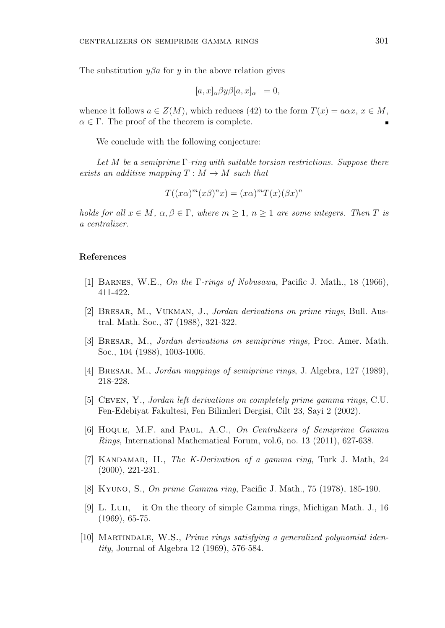The substitution  $y\beta a$  for *y* in the above relation gives

$$
[a, x]_{\alpha} \beta y \beta [a, x]_{\alpha} = 0,
$$

whence it follows  $a \in Z(M)$ , which reduces (42) to the form  $T(x) = a\alpha x, x \in M$ ,  $\alpha \in \Gamma$ . The proof of the theorem is complete.

We conclude with the following conjecture:

*Let M be a semiprime* Γ*-ring with suitable torsion restrictions. Suppose there exists an additive mapping*  $T : M \rightarrow M$  *such that* 

$$
T((x\alpha)^m(x\beta)^nx) = (x\alpha)^m T(x)(\beta x)^n
$$

*holds for all*  $x \in M$ *,*  $\alpha, \beta \in \Gamma$ *, where*  $m \geq 1$ *,*  $n \geq 1$  *are some integers. Then T is a centralizer.*

#### **References**

- [1] Barnes, W.E., *On the* Γ*-rings of Nobusawa,* Pacific J. Math., 18 (1966), 411-422.
- [2] Bresar, M., Vukman, J., *Jordan derivations on prime rings*, Bull. Austral. Math. Soc., 37 (1988), 321-322.
- [3] Bresar, M., *Jordan derivations on semiprime rings,* Proc. Amer. Math. Soc., 104 (1988), 1003-1006.
- [4] Bresar, M., *Jordan mappings of semiprime rings*, J. Algebra, 127 (1989), 218-228.
- [5] Ceven, Y., *Jordan left derivations on completely prime gamma rings*, C.U. Fen-Edebiyat Fakultesi, Fen Bilimleri Dergisi, Cilt 23, Sayi 2 (2002).
- [6] Hoque, M.F. and Paul, A.C., *On Centralizers of Semiprime Gamma Rings*, International Mathematical Forum, vol.6, no. 13 (2011), 627-638.
- [7] Kandamar, H., *The K-Derivation of a gamma ring*, Turk J. Math, 24 (2000), 221-231.
- [8] Kyuno, S., *On prime Gamma ring*, Pacific J. Math., 75 (1978), 185-190.
- [9] L. Luh, —it On the theory of simple Gamma rings, Michigan Math. J., 16 (1969), 65-75.
- [10] Martindale, W.S., *Prime rings satisfying a generalized polynomial identity*, Journal of Algebra 12 (1969), 576-584.